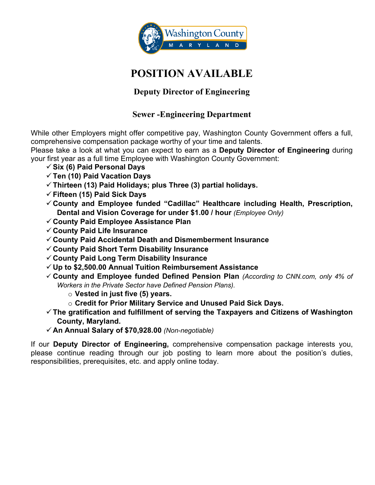

# **POSITION AVAILABLE**

# **Deputy Director of Engineering**

# **Sewer -Engineering Department**

While other Employers might offer competitive pay, Washington County Government offers a full, comprehensive compensation package worthy of your time and talents.

Please take a look at what you can expect to earn as a **Deputy Director of Engineering** during your first year as a full time Employee with Washington County Government:

- **Six (6) Paid Personal Days**
- **Ten (10) Paid Vacation Days**
- **Thirteen (13) Paid Holidays; plus Three (3) partial holidays.**
- **Fifteen (15) Paid Sick Days**
- **County and Employee funded "Cadillac" Healthcare including Health, Prescription, Dental and Vision Coverage for under \$1.00 / hour** *(Employee Only)*
- **County Paid Employee Assistance Plan**
- **County Paid Life Insurance**
- **County Paid Accidental Death and Dismemberment Insurance**
- **County Paid Short Term Disability Insurance**
- **County Paid Long Term Disability Insurance**
- **Up to \$2,500.00 Annual Tuition Reimbursement Assistance**
- **County and Employee funded Defined Pension Plan** *(According to CNN.com, only 4% of Workers in the Private Sector have Defined Pension Plans).*
	- o **Vested in just five (5) years.**
	- o **Credit for Prior Military Service and Unused Paid Sick Days.**
- **The gratification and fulfillment of serving the Taxpayers and Citizens of Washington County, Maryland.**
- **An Annual Salary of \$70,928.00** *(Non-negotiable)*

If our **Deputy Director of Engineering,** comprehensive compensation package interests you, please continue reading through our job posting to learn more about the position's duties, responsibilities, prerequisites, etc. and apply online today.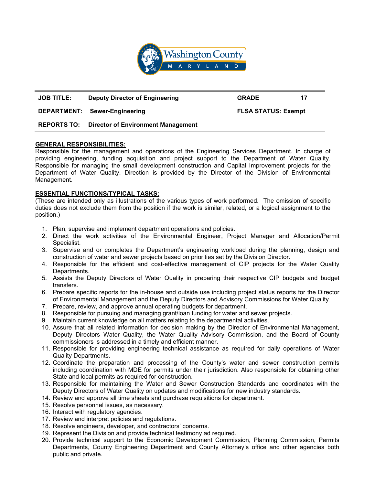

# **JOB TITLE: Deputy Director of Engineering GRADE 17**

**DEPARTMENT: Sewer-Engineering FLSA STATUS: Exempt**

## **REPORTS TO: Director of Environment Management**

### **GENERAL RESPONSIBILITIES:**

Responsible for the management and operations of the Engineering Services Department. In charge of providing engineering, funding acquisition and project support to the Department of Water Quality. Responsible for managing the small development construction and Capital Improvement projects for the Department of Water Quality. Direction is provided by the Director of the Division of Environmental Management.

## **ESSENTIAL FUNCTIONS/TYPICAL TASKS:**

(These are intended only as illustrations of the various types of work performed. The omission of specific duties does not exclude them from the position if the work is similar, related, or a logical assignment to the position.)

- 1. Plan, supervise and implement department operations and policies.
- 2. Direct the work activities of the Environmental Engineer, Project Manager and Allocation/Permit Specialist.
- 3. Supervise and or completes the Department's engineering workload during the planning, design and construction of water and sewer projects based on priorities set by the Division Director.
- 4. Responsible for the efficient and cost-effective management of CIP projects for the Water Quality Departments.
- 5. Assists the Deputy Directors of Water Quality in preparing their respective CIP budgets and budget transfers.
- 6. Prepare specific reports for the in-house and outside use including project status reports for the Director of Environmental Management and the Deputy Directors and Advisory Commissions for Water Quality.
- 7. Prepare, review, and approve annual operating budgets for department.
- 8. Responsible for pursuing and managing grant/loan funding for water and sewer projects.
- 9. Maintain current knowledge on all matters relating to the departmental activities.
- 10. Assure that all related information for decision making by the Director of Environmental Management, Deputy Directors Water Quality, the Water Quality Advisory Commission, and the Board of County commissioners is addressed in a timely and efficient manner.
- 11. Responsible for providing engineering technical assistance as required for daily operations of Water Quality Departments.
- 12. Coordinate the preparation and processing of the County's water and sewer construction permits including coordination with MDE for permits under their jurisdiction. Also responsible for obtaining other State and local permits as required for construction.
- 13. Responsible for maintaining the Water and Sewer Construction Standards and coordinates with the Deputy Directors of Water Quality on updates and modifications for new industry standards.
- 14. Review and approve all time sheets and purchase requisitions for department.
- 15. Resolve personnel issues, as necessary.
- 16. Interact with regulatory agencies.
- 17. Review and interpret policies and regulations.
- 18. Resolve engineers, developer, and contractors' concerns.
- 19. Represent the Division and provide technical testimony ad required.
- 20. Provide technical support to the Economic Development Commission, Planning Commission, Permits Departments, County Engineering Department and County Attorney's office and other agencies both public and private.